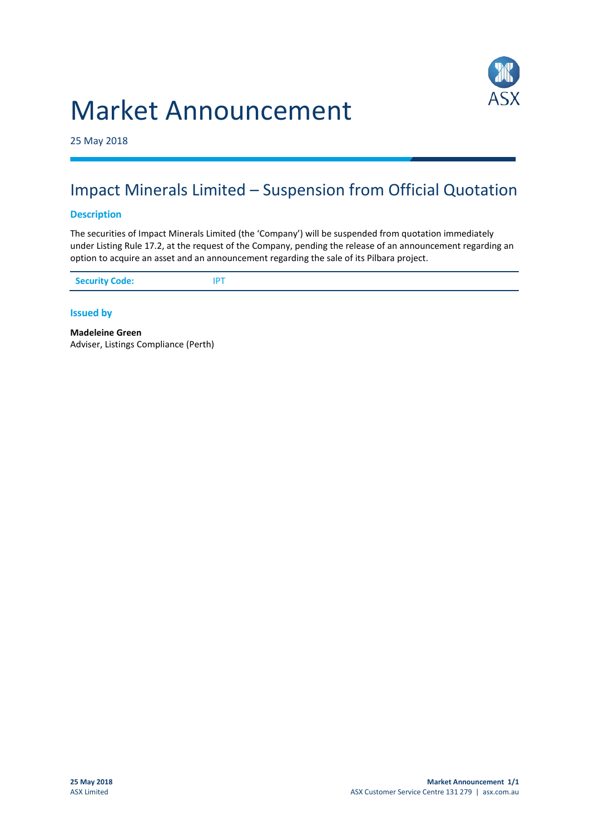

# Market Announcement

25 May 2018

## Impact Minerals Limited – Suspension from Official Quotation

#### **Description**

The securities of Impact Minerals Limited (the 'Company') will be suspended from quotation immediately under Listing Rule 17.2, at the request of the Company, pending the release of an announcement regarding an option to acquire an asset and an announcement regarding the sale of its Pilbara project.

#### **Issued by**

**Madeleine Green** Adviser, Listings Compliance (Perth)